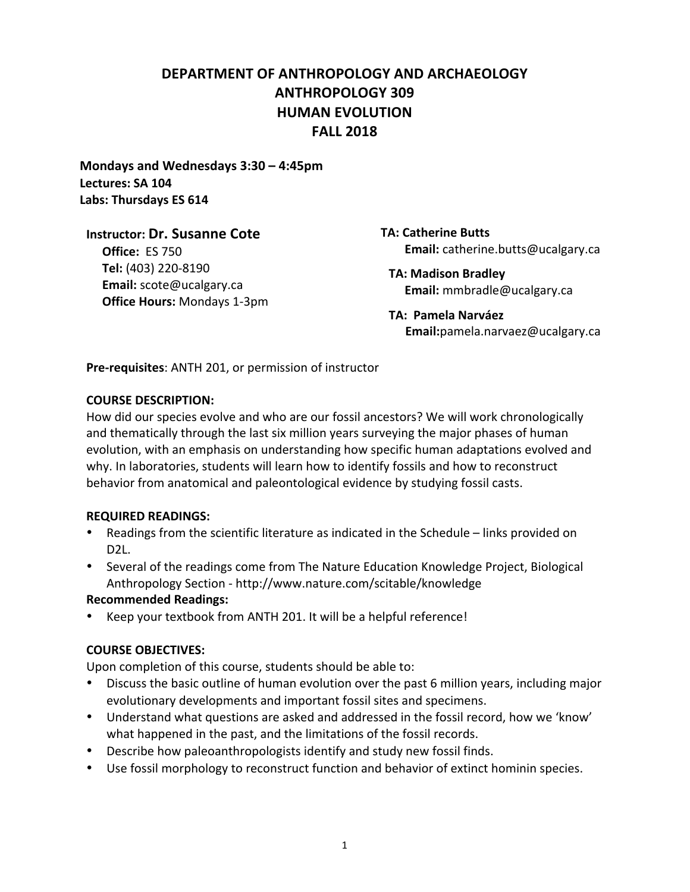# **DEPARTMENT)OF)ANTHROPOLOGY)AND)ARCHAEOLOGY) ANTHROPOLOGY)309 HUMAN EVOLUTION FALL)2018**

**Mondays)and)Wednesdays 3:30)– 4:45pm Lectures: SA)104** Labs: Thursdays ES 614

#### **Instructor: Dr. Susanne Cote**

**Office: ES 750 Tel:)**(403)!220-8190 **Email:)**scote@ucalgary.ca **Office Hours: Mondays 1-3pm**  **TA: Catherine Butts Email:** catherine.butts@ucalgary.ca

**TA: Madison)Bradley Email:** mmbradle@ucalgary.ca

**TA:) Pamela)Narváez )))) Email:**pamela.narvaez@ucalgary.ca

**Pre-requisites:** ANTH 201, or permission of instructor

#### **COURSE DESCRIPTION:**

How did our species evolve and who are our fossil ancestors? We will work chronologically and thematically through the last six million years surveying the major phases of human evolution, with an emphasis on understanding how specific human adaptations evolved and why. In laboratories, students will learn how to identify fossils and how to reconstruct behavior from anatomical and paleontological evidence by studying fossil casts.

#### **REQUIRED)READINGS:**

- Readings from the scientific literature as indicated in the Schedule links provided on D<sub>2</sub>L.
- Several of the readings come from The Nature Education Knowledge Project, Biological Anthropology Section - http://www.nature.com/scitable/knowledge

## **Recommended Readings:**

Keep your textbook from ANTH 201. It will be a helpful reference!

## **COURSE OBJECTIVES:**

Upon completion of this course, students should be able to:

- Discuss the basic outline of human evolution over the past 6 million years, including major evolutionary developments and important fossil sites and specimens.
- Understand what questions are asked and addressed in the fossil record, how we 'know' what happened in the past, and the limitations of the fossil records.
- Describe how paleoanthropologists identify and study new fossil finds.
- Use fossil morphology to reconstruct function and behavior of extinct hominin species.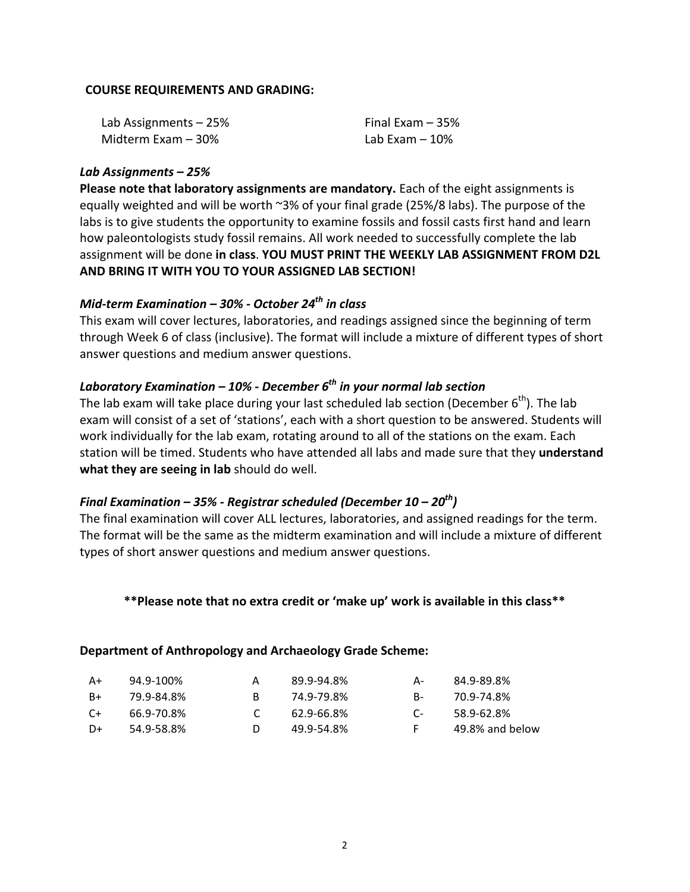#### **COURSE REQUIREMENTS AND GRADING:**

| Lab Assignments - 25% | Final Exam $-35%$ |
|-----------------------|-------------------|
| Midterm Exam – 30%    | Lab Exam $-10\%$  |

#### *Lab\$Assignments\$– 25%*

Please note that laboratory assignments are mandatory. Each of the eight assignments is equally weighted and will be worth  $\sim$ 3% of your final grade (25%/8 labs). The purpose of the labs is to give students the opportunity to examine fossils and fossil casts first hand and learn how paleontologists study fossil remains. All work needed to successfully complete the lab assignment will be done in class. YOU MUST PRINT THE WEEKLY LAB ASSIGNMENT FROM D2L AND BRING IT WITH YOU TO YOUR ASSIGNED LAB SECTION!

# *Mid-term Examination – 30% - October 24<sup>th</sup> in class*

This exam will cover lectures, laboratories, and readings assigned since the beginning of term through Week 6 of class (inclusive). The format will include a mixture of different types of short answer questions and medium answer questions.

### *Laboratory\$Examination\$– 10%\$3 December\$6th in\$your normal lab\$section*

The lab exam will take place during your last scheduled lab section (December  $6<sup>th</sup>$ ). The lab exam will consist of a set of 'stations', each with a short question to be answered. Students will work individually for the lab exam, rotating around to all of the stations on the exam. Each station will be timed. Students who have attended all labs and made sure that they understand **what they are seeing in lab** should do well.

# *Final\$Examination\$– 35%\$3 Registrar\$scheduled\$(December\$10 – 20th)*

The final examination will cover ALL lectures, laboratories, and assigned readings for the term. The format will be the same as the midterm examination and will include a mixture of different types of short answer questions and medium answer questions.

\*\*Please note that no extra credit or 'make up' work is available in this class\*\*

#### Department of Anthropology and Archaeology Grade Scheme:

| A+   | 94.9-100%  | 89.9-94.8% | А- | 84.9-89.8%      |
|------|------------|------------|----|-----------------|
| $B+$ | 79.9-84.8% | 74.9-79.8% | В- | 70.9-74.8%      |
| $C+$ | 66.9-70.8% | 62.9-66.8% | C- | 58.9-62.8%      |
| D+   | 54.9-58.8% | 49.9-54.8% | F. | 49.8% and below |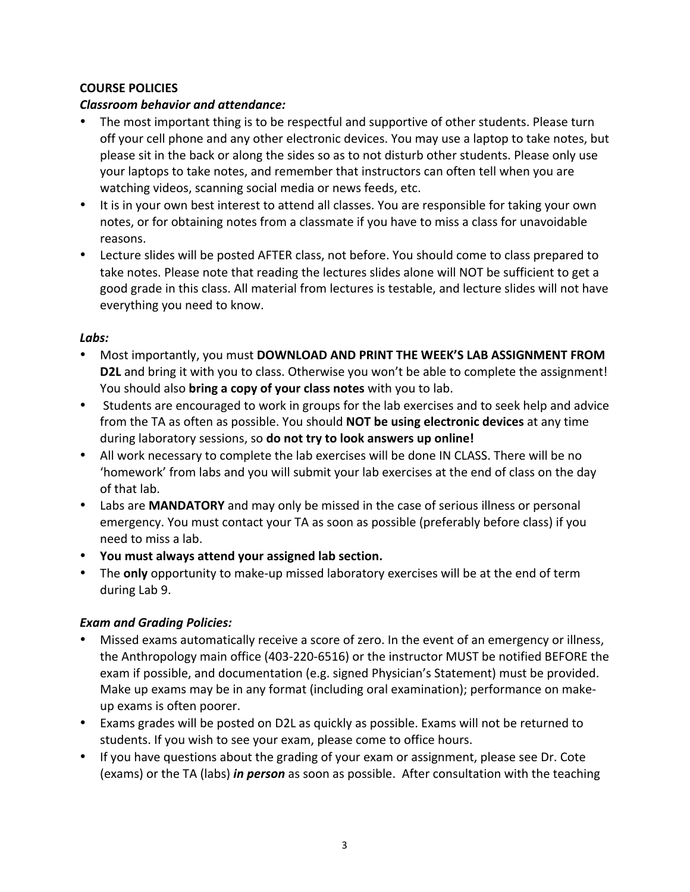### **COURSE POLICIES**

### *Classroom behavior and attendance:*

- The most important thing is to be respectful and supportive of other students. Please turn off your cell phone and any other electronic devices. You may use a laptop to take notes, but please sit in the back or along the sides so as to not disturb other students. Please only use your laptops to take notes, and remember that instructors can often tell when you are watching videos, scanning social media or news feeds, etc.
- It is in your own best interest to attend all classes. You are responsible for taking your own notes, or for obtaining notes from a classmate if you have to miss a class for unavoidable reasons.!
- Lecture slides will be posted AFTER class, not before. You should come to class prepared to take notes. Please note that reading the lectures slides alone will NOT be sufficient to get a good grade in this class. All material from lectures is testable, and lecture slides will not have everything you need to know.

### *Labs:*

- Most importantly, you must **DOWNLOAD AND PRINT THE WEEK'S LAB ASSIGNMENT FROM D2L** and bring it with you to class. Otherwise you won't be able to complete the assignment! You should also **bring a copy of your class notes** with you to lab.
- Students are encouraged to work in groups for the lab exercises and to seek help and advice from the TA as often as possible. You should **NOT be using electronic devices** at any time during laboratory sessions, so **do not try to look answers up online!**
- All work necessary to complete the lab exercises will be done IN CLASS. There will be no 'homework' from labs and you will submit your lab exercises at the end of class on the day of that lab.
- Labs are **MANDATORY** and may only be missed in the case of serious illness or personal emergency. You must contact your TA as soon as possible (preferably before class) if you need to miss a lab.
- You must always attend your assigned lab section.
- The **only** opportunity to make-up missed laboratory exercises will be at the end of term during Lab 9.

## *Exam and Grading Policies:*

- Missed exams automatically receive a score of zero. In the event of an emergency or illness, the Anthropology main office (403-220-6516) or the instructor MUST be notified BEFORE the exam if possible, and documentation (e.g. signed Physician's Statement) must be provided. Make up exams may be in any format (including oral examination); performance on makeup exams is often poorer.
- Exams grades will be posted on D2L as quickly as possible. Exams will not be returned to students. If you wish to see your exam, please come to office hours.
- If you have questions about the grading of your exam or assignment, please see Dr. Cote (exams) or the TA (labs) *in person* as soon as possible. After consultation with the teaching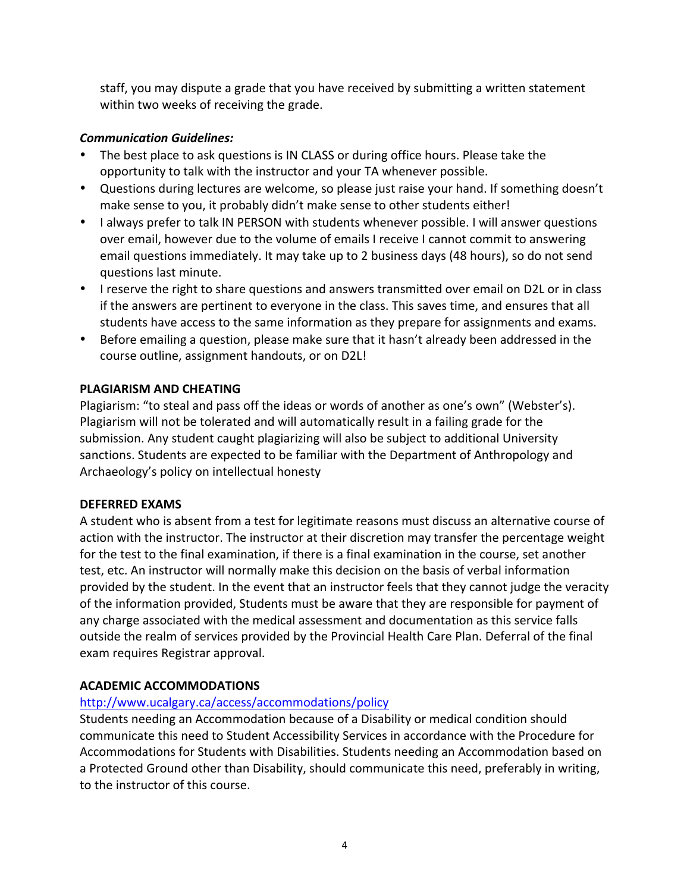staff, you may dispute a grade that you have received by submitting a written statement within two weeks of receiving the grade.

# *Communication\$Guidelines:*

- The best place to ask questions is IN CLASS or during office hours. Please take the opportunity to talk with the instructor and your TA whenever possible.
- Questions during lectures are welcome, so please just raise your hand. If something doesn't make sense to you, it probably didn't make sense to other students either!
- I always prefer to talk IN PERSON with students whenever possible. I will answer questions over email, however due to the volume of emails I receive I cannot commit to answering email questions immediately. It may take up to 2 business days (48 hours), so do not send questions last minute.
- I reserve the right to share questions and answers transmitted over email on D2L or in class if the answers are pertinent to everyone in the class. This saves time, and ensures that all students have access to the same information as they prepare for assignments and exams.
- Before emailing a question, please make sure that it hasn't already been addressed in the course outline, assignment handouts, or on D2L!

## **PLAGIARISM AND CHEATING**

Plagiarism: "to steal and pass off the ideas or words of another as one's own" (Webster's). Plagiarism will not be tolerated and will automatically result in a failing grade for the submission. Any student caught plagiarizing will also be subject to additional University sanctions. Students are expected to be familiar with the Department of Anthropology and Archaeology's policy on intellectual honesty

## **DEFERRED)EXAMS**

A student who is absent from a test for legitimate reasons must discuss an alternative course of action with the instructor. The instructor at their discretion may transfer the percentage weight for the test to the final examination, if there is a final examination in the course, set another test, etc. An instructor will normally make this decision on the basis of verbal information provided by the student. In the event that an instructor feels that they cannot judge the veracity of the information provided, Students must be aware that they are responsible for payment of any charge associated with the medical assessment and documentation as this service falls outside the realm of services provided by the Provincial Health Care Plan. Deferral of the final exam requires Registrar approval.

# **ACADEMIC)ACCOMMODATIONS**

# http://www.ucalgary.ca/access/accommodations/policy

Students needing an Accommodation because of a Disability or medical condition should communicate this need to Student Accessibility Services in accordance with the Procedure for Accommodations for Students with Disabilities. Students needing an Accommodation based on a Protected Ground other than Disability, should communicate this need, preferably in writing, to the instructor of this course.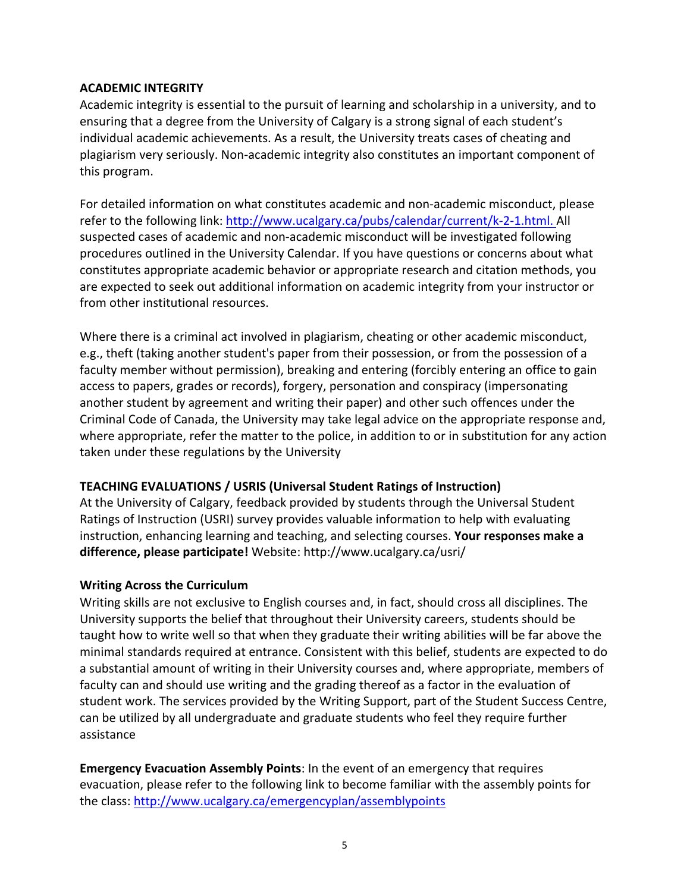### **ACADEMIC)INTEGRITY**

Academic integrity is essential to the pursuit of learning and scholarship in a university, and to ensuring that a degree from the University of Calgary is a strong signal of each student's individual academic achievements. As a result, the University treats cases of cheating and plagiarism very seriously. Non-academic integrity also constitutes an important component of this program.

For detailed information on what constitutes academic and non-academic misconduct, please refer to the following link: http://www.ucalgary.ca/pubs/calendar/current/k-2-1.html. All suspected cases of academic and non-academic misconduct will be investigated following procedures outlined in the University Calendar. If you have questions or concerns about what constitutes appropriate academic behavior or appropriate research and citation methods, you are expected to seek out additional information on academic integrity from your instructor or from other institutional resources.

Where there is a criminal act involved in plagiarism, cheating or other academic misconduct, e.g., theft (taking another student's paper from their possession, or from the possession of a faculty member without permission), breaking and entering (forcibly entering an office to gain access to papers, grades or records), forgery, personation and conspiracy (impersonating another student by agreement and writing their paper) and other such offences under the Criminal Code of Canada, the University may take legal advice on the appropriate response and, where appropriate, refer the matter to the police, in addition to or in substitution for any action taken under these regulations by the University

## **TEACHING EVALUATIONS / USRIS (Universal Student Ratings of Instruction)**

At the University of Calgary, feedback provided by students through the Universal Student Ratings of Instruction (USRI) survey provides valuable information to help with evaluating instruction, enhancing learning and teaching, and selecting courses. Your responses make a difference, please participate! Website: http://www.ucalgary.ca/usri/

#### **Writing Across the Curriculum**

Writing skills are not exclusive to English courses and, in fact, should cross all disciplines. The University supports the belief that throughout their University careers, students should be taught how to write well so that when they graduate their writing abilities will be far above the minimal standards required at entrance. Consistent with this belief, students are expected to do a substantial amount of writing in their University courses and, where appropriate, members of faculty can and should use writing and the grading thereof as a factor in the evaluation of student work. The services provided by the Writing Support, part of the Student Success Centre, can be utilized by all undergraduate and graduate students who feel they require further assistance

**Emergency Evacuation Assembly Points:** In the event of an emergency that requires evacuation, please refer to the following link to become familiar with the assembly points for the class: http://www.ucalgary.ca/emergencyplan/assemblypoints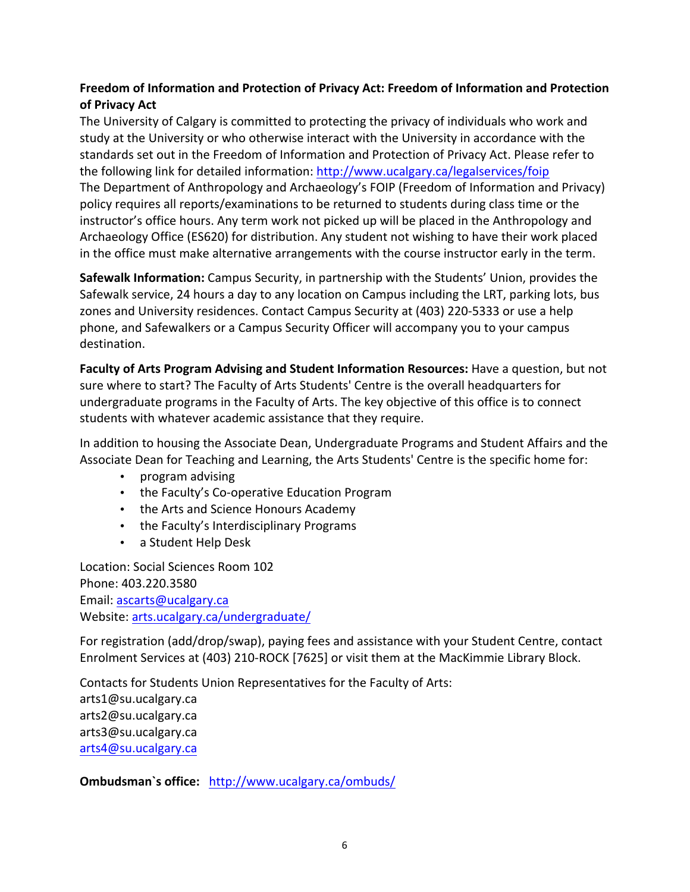## Freedom of Information and Protection of Privacy Act: Freedom of Information and Protection **of Privacy Act**

The University of Calgary is committed to protecting the privacy of individuals who work and study at the University or who otherwise interact with the University in accordance with the standards set out in the Freedom of Information and Protection of Privacy Act. Please refer to the following link for detailed information: http://www.ucalgary.ca/legalservices/foip The Department of Anthropology and Archaeology's FOIP (Freedom of Information and Privacy) policy requires all reports/examinations to be returned to students during class time or the instructor's office hours. Any term work not picked up will be placed in the Anthropology and Archaeology Office (ES620) for distribution. Any student not wishing to have their work placed in the office must make alternative arrangements with the course instructor early in the term.

Safewalk Information: Campus Security, in partnership with the Students' Union, provides the Safewalk service, 24 hours a day to any location on Campus including the LRT, parking lots, bus zones and University residences. Contact Campus Security at (403) 220-5333 or use a help phone, and Safewalkers or a Campus Security Officer will accompany you to your campus destination.

**Faculty of Arts Program Advising and Student Information Resources:** Have a question, but not sure where to start? The Faculty of Arts Students' Centre is the overall headquarters for undergraduate programs in the Faculty of Arts. The key objective of this office is to connect students with whatever academic assistance that they require.

In addition to housing the Associate Dean, Undergraduate Programs and Student Affairs and the Associate Dean for Teaching and Learning, the Arts Students' Centre is the specific home for:

- program advising
- the Faculty's Co-operative Education Program
- the Arts and Science Honours Academy
- the Faculty's Interdisciplinary Programs
- a Student Help Desk

Location: Social Sciences Room 102 Phone: 403.220.3580 Email: ascarts@ucalgary.ca Website: arts.ucalgary.ca/undergraduate/

For registration (add/drop/swap), paying fees and assistance with your Student Centre, contact Enrolment Services at (403) 210-ROCK [7625] or visit them at the MacKimmie Library Block.

Contacts for Students Union Representatives for the Faculty of Arts: arts1@su.ucalgary.ca arts2@su.ucalgary.ca arts3@su.ucalgary.ca arts4@su.ucalgary.ca

**Ombudsman's office:** http://www.ucalgary.ca/ombuds/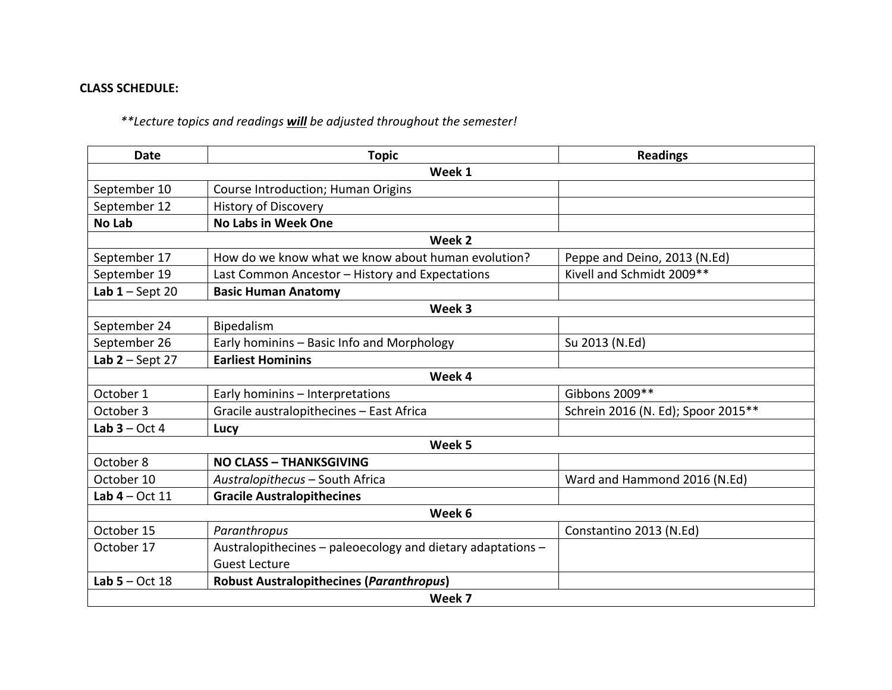## **CLASS SCHEDULE:**

# \*\*Lecture topics and readings **will** be adjusted throughout the semester!

| <b>Date</b>       | <b>Topic</b>                                                | <b>Readings</b>                    |  |  |
|-------------------|-------------------------------------------------------------|------------------------------------|--|--|
|                   | Week 1                                                      |                                    |  |  |
| September 10      | Course Introduction; Human Origins                          |                                    |  |  |
| September 12      | <b>History of Discovery</b>                                 |                                    |  |  |
| <b>No Lab</b>     | <b>No Labs in Week One</b>                                  |                                    |  |  |
|                   | Week 2                                                      |                                    |  |  |
| September 17      | How do we know what we know about human evolution?          | Peppe and Deino, 2013 (N.Ed)       |  |  |
| September 19      | Last Common Ancestor - History and Expectations             | Kivell and Schmidt 2009**          |  |  |
| Lab $1 -$ Sept 20 | <b>Basic Human Anatomy</b>                                  |                                    |  |  |
| Week 3            |                                                             |                                    |  |  |
| September 24      | Bipedalism                                                  |                                    |  |  |
| September 26      | Early hominins - Basic Info and Morphology                  | Su 2013 (N.Ed)                     |  |  |
| Lab $2 -$ Sept 27 | <b>Earliest Hominins</b>                                    |                                    |  |  |
|                   | Week 4                                                      |                                    |  |  |
| October 1         | Early hominins - Interpretations                            | Gibbons 2009**                     |  |  |
| October 3         | Gracile australopithecines - East Africa                    | Schrein 2016 (N. Ed); Spoor 2015** |  |  |
| Lab $3 - Oct 4$   | Lucy                                                        |                                    |  |  |
|                   | Week 5                                                      |                                    |  |  |
| October 8         | <b>NO CLASS - THANKSGIVING</b>                              |                                    |  |  |
| October 10        | Australopithecus - South Africa                             | Ward and Hammond 2016 (N.Ed)       |  |  |
| Lab $4 - Oct$ 11  | <b>Gracile Australopithecines</b>                           |                                    |  |  |
|                   | Week 6                                                      |                                    |  |  |
| October 15        | Paranthropus                                                | Constantino 2013 (N.Ed)            |  |  |
| October 17        | Australopithecines - paleoecology and dietary adaptations - |                                    |  |  |
|                   | <b>Guest Lecture</b>                                        |                                    |  |  |
| Lab $5 - Oct$ 18  | <b>Robust Australopithecines (Paranthropus)</b>             |                                    |  |  |
|                   | Week 7                                                      |                                    |  |  |